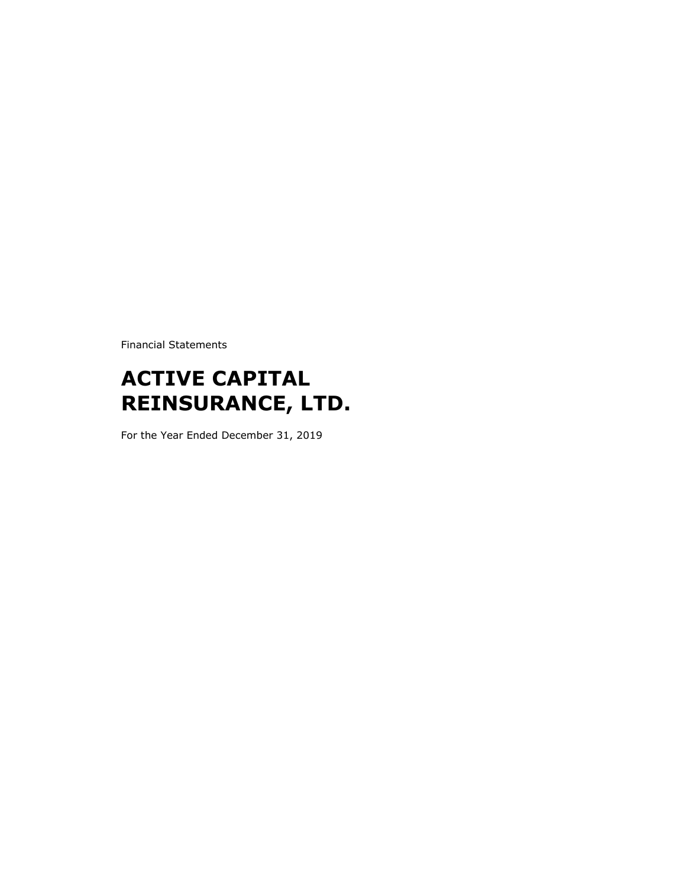Financial Statements

## **ACTIVE CAPITAL REINSURANCE, LTD.**

For the Year Ended December 31, 2019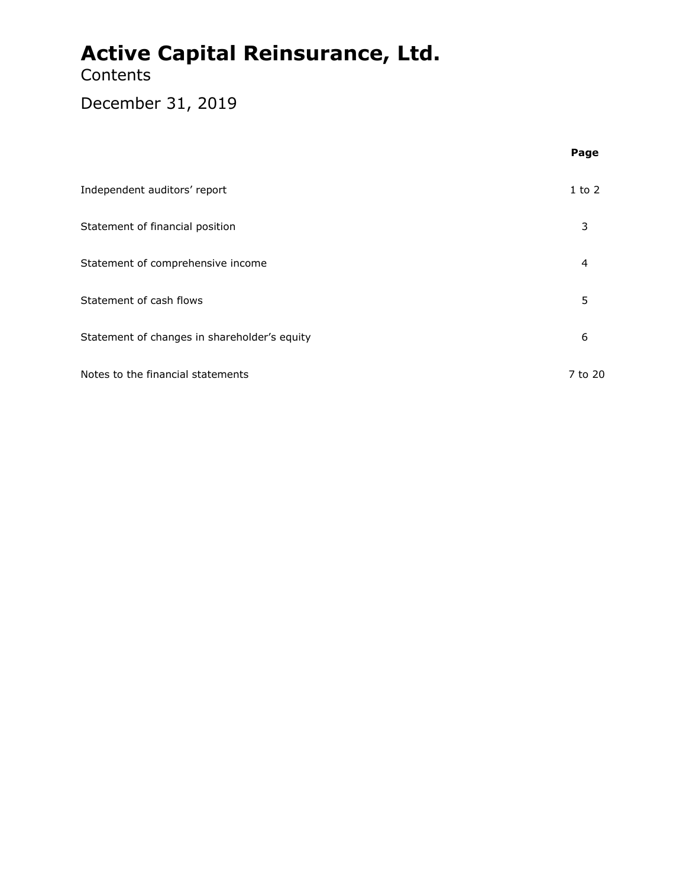### **Contents**

### December 31, 2019

|                                              | Page       |
|----------------------------------------------|------------|
| Independent auditors' report                 | $1$ to $2$ |
| Statement of financial position              | 3          |
| Statement of comprehensive income            | 4          |
| Statement of cash flows                      | 5          |
| Statement of changes in shareholder's equity | 6          |
| Notes to the financial statements            | 7 to 20    |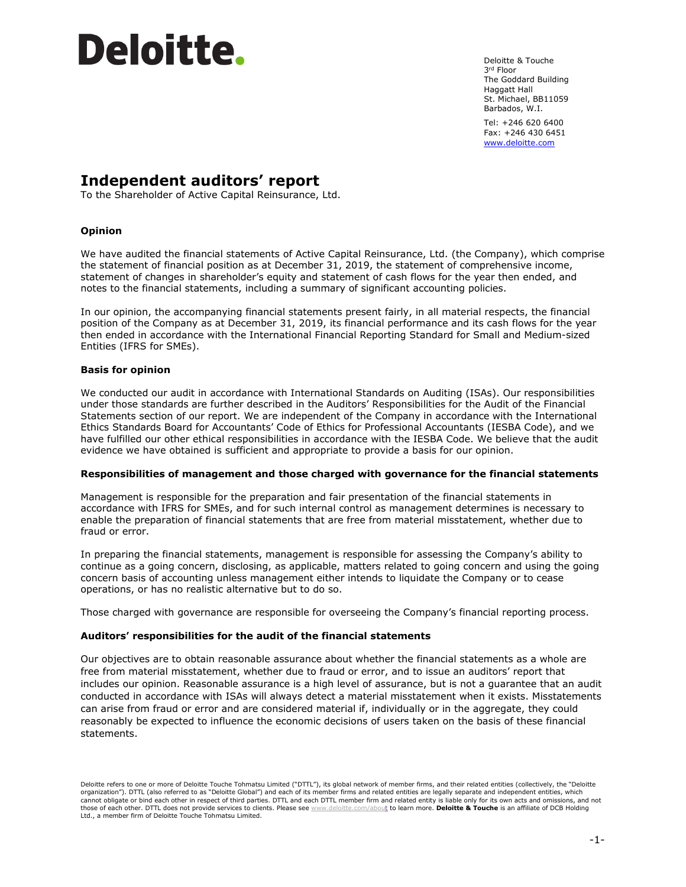# Deloitte.

Deloitte & Touche 3 rd Floor The Goddard Building Haggatt Hall St. Michael, BB11059 Barbados, W.I. Tel: +246 620 6400 Fax: +246 430 6451 [www.deloitte.com](http://www.deloitte.com/)

### **Independent auditors' report**

To the Shareholder of Active Capital Reinsurance, Ltd.

#### **Opinion**

We have audited the financial statements of Active Capital Reinsurance, Ltd. (the Company), which comprise the statement of financial position as at December 31, 2019, the statement of comprehensive income, statement of changes in shareholder's equity and statement of cash flows for the year then ended, and notes to the financial statements, including a summary of significant accounting policies.

In our opinion, the accompanying financial statements present fairly, in all material respects, the financial position of the Company as at December 31, 2019, its financial performance and its cash flows for the year then ended in accordance with the International Financial Reporting Standard for Small and Medium-sized Entities (IFRS for SMEs).

#### **Basis for opinion**

We conducted our audit in accordance with International Standards on Auditing (ISAs). Our responsibilities under those standards are further described in the Auditors' Responsibilities for the Audit of the Financial Statements section of our report. We are independent of the Company in accordance with the International Ethics Standards Board for Accountants' Code of Ethics for Professional Accountants (IESBA Code), and we have fulfilled our other ethical responsibilities in accordance with the IESBA Code. We believe that the audit evidence we have obtained is sufficient and appropriate to provide a basis for our opinion.

#### **Responsibilities of management and those charged with governance for the financial statements**

Management is responsible for the preparation and fair presentation of the financial statements in accordance with IFRS for SMEs, and for such internal control as management determines is necessary to enable the preparation of financial statements that are free from material misstatement, whether due to fraud or error.

In preparing the financial statements, management is responsible for assessing the Company's ability to continue as a going concern, disclosing, as applicable, matters related to going concern and using the going concern basis of accounting unless management either intends to liquidate the Company or to cease operations, or has no realistic alternative but to do so.

Those charged with governance are responsible for overseeing the Company's financial reporting process.

#### **Auditors' responsibilities for the audit of the financial statements**

Our objectives are to obtain reasonable assurance about whether the financial statements as a whole are free from material misstatement, whether due to fraud or error, and to issue an auditors' report that includes our opinion. Reasonable assurance is a high level of assurance, but is not a guarantee that an audit conducted in accordance with ISAs will always detect a material misstatement when it exists. Misstatements can arise from fraud or error and are considered material if, individually or in the aggregate, they could reasonably be expected to influence the economic decisions of users taken on the basis of these financial statements.

Deloitte refers to one or more of Deloitte Touche Tohmatsu Limited ("DTTL"), its global network of member firms, and their related entities (collectively, the "Deloitte organization"). DTTL (also referred to as "Deloitte Global") and each of its member firms and related entities are legally separate and independent entities, which cannot obligate or bind each other in respect of third parties. DTTL and each DTTL member firm and related entity is liable only for its own acts and omissions, and not those of each other. DTTL does not provide services to clients. Please see [www.deloitte.com/about](https://www.deloitte.com/about) to learn more. **Deloitte & Touche** is an affiliate of DCB Holding Ltd., a member firm of Deloitte Touche Tohmatsu Limited.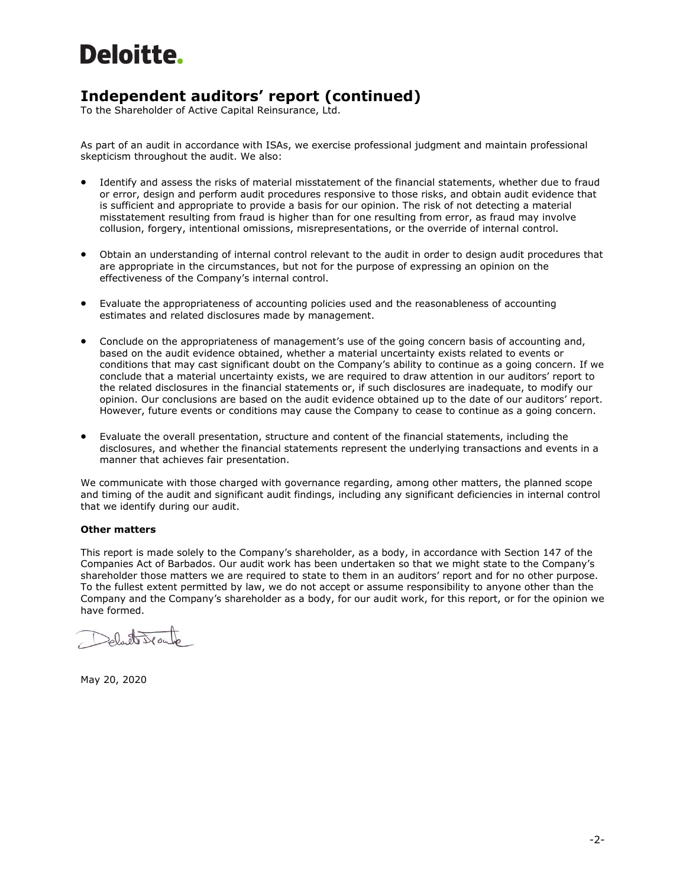# **Deloitte**

### **Independent auditors' report (continued)**

To the Shareholder of Active Capital Reinsurance, Ltd.

As part of an audit in accordance with ISAs, we exercise professional judgment and maintain professional skepticism throughout the audit. We also:

- Identify and assess the risks of material misstatement of the financial statements, whether due to fraud or error, design and perform audit procedures responsive to those risks, and obtain audit evidence that is sufficient and appropriate to provide a basis for our opinion. The risk of not detecting a material misstatement resulting from fraud is higher than for one resulting from error, as fraud may involve collusion, forgery, intentional omissions, misrepresentations, or the override of internal control.
- Obtain an understanding of internal control relevant to the audit in order to design audit procedures that are appropriate in the circumstances, but not for the purpose of expressing an opinion on the effectiveness of the Company's internal control.
- Evaluate the appropriateness of accounting policies used and the reasonableness of accounting estimates and related disclosures made by management.
- Conclude on the appropriateness of management's use of the going concern basis of accounting and, based on the audit evidence obtained, whether a material uncertainty exists related to events or conditions that may cast significant doubt on the Company's ability to continue as a going concern. If we conclude that a material uncertainty exists, we are required to draw attention in our auditors' report to the related disclosures in the financial statements or, if such disclosures are inadequate, to modify our opinion. Our conclusions are based on the audit evidence obtained up to the date of our auditors' report. However, future events or conditions may cause the Company to cease to continue as a going concern.
- Evaluate the overall presentation, structure and content of the financial statements, including the disclosures, and whether the financial statements represent the underlying transactions and events in a manner that achieves fair presentation.

We communicate with those charged with governance regarding, among other matters, the planned scope and timing of the audit and significant audit findings, including any significant deficiencies in internal control that we identify during our audit.

#### **Other matters**

This report is made solely to the Company's shareholder, as a body, in accordance with Section 147 of the Companies Act of Barbados. Our audit work has been undertaken so that we might state to the Company's shareholder those matters we are required to state to them in an auditors' report and for no other purpose. To the fullest extent permitted by law, we do not accept or assume responsibility to anyone other than the Company and the Company's shareholder as a body, for our audit work, for this report, or for the opinion we have formed.

 $0.8\sqrt{104}$ 

May 20, 2020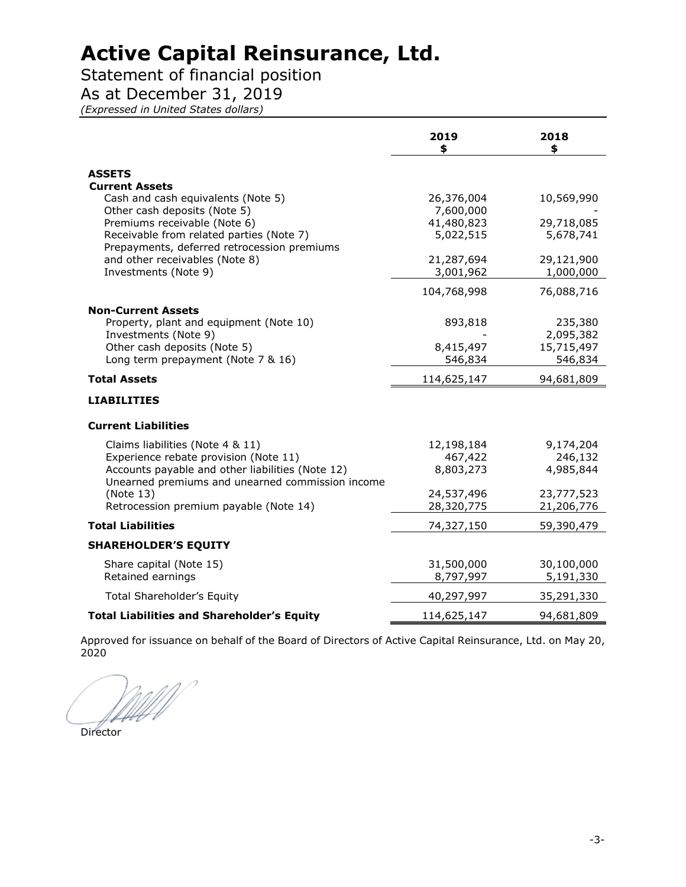### Statement of financial position

As at December 31, 2019

*(Expressed in United States dollars)*

|                                                                                                                                                                                                                                          | 2019<br>\$                                                     | 2018<br>\$                                                    |
|------------------------------------------------------------------------------------------------------------------------------------------------------------------------------------------------------------------------------------------|----------------------------------------------------------------|---------------------------------------------------------------|
| <b>ASSETS</b><br><b>Current Assets</b>                                                                                                                                                                                                   |                                                                |                                                               |
| Cash and cash equivalents (Note 5)<br>Other cash deposits (Note 5)<br>Premiums receivable (Note 6)<br>Receivable from related parties (Note 7)<br>Prepayments, deferred retrocession premiums                                            | 26,376,004<br>7,600,000<br>41,480,823<br>5,022,515             | 10,569,990<br>29,718,085<br>5,678,741                         |
| and other receivables (Note 8)<br>Investments (Note 9)                                                                                                                                                                                   | 21,287,694<br>3,001,962                                        | 29,121,900<br>1,000,000                                       |
|                                                                                                                                                                                                                                          | 104,768,998                                                    | 76,088,716                                                    |
| <b>Non-Current Assets</b><br>Property, plant and equipment (Note 10)<br>Investments (Note 9)<br>Other cash deposits (Note 5)<br>Long term prepayment (Note 7 & 16)                                                                       | 893,818<br>8,415,497<br>546,834                                | 235,380<br>2,095,382<br>15,715,497<br>546,834                 |
| <b>Total Assets</b>                                                                                                                                                                                                                      | 114,625,147                                                    | 94,681,809                                                    |
| <b>LIABILITIES</b>                                                                                                                                                                                                                       |                                                                |                                                               |
| <b>Current Liabilities</b>                                                                                                                                                                                                               |                                                                |                                                               |
| Claims liabilities (Note 4 & 11)<br>Experience rebate provision (Note 11)<br>Accounts payable and other liabilities (Note 12)<br>Unearned premiums and unearned commission income<br>(Note 13)<br>Retrocession premium payable (Note 14) | 12,198,184<br>467,422<br>8,803,273<br>24,537,496<br>28,320,775 | 9,174,204<br>246,132<br>4,985,844<br>23,777,523<br>21,206,776 |
| <b>Total Liabilities</b>                                                                                                                                                                                                                 | 74,327,150                                                     | 59,390,479                                                    |
| <b>SHAREHOLDER'S EQUITY</b>                                                                                                                                                                                                              |                                                                |                                                               |
| Share capital (Note 15)<br>Retained earnings                                                                                                                                                                                             | 31,500,000<br>8,797,997                                        | 30,100,000<br>5,191,330                                       |
| <b>Total Shareholder's Equity</b>                                                                                                                                                                                                        | 40,297,997                                                     | 35,291,330                                                    |
| <b>Total Liabilities and Shareholder's Equity</b>                                                                                                                                                                                        | 114,625,147                                                    | 94,681,809                                                    |

Approved for issuance on behalf of the Board of Directors of Active Capital Reinsurance, Ltd. on May 20, 2020

 $\mathbb{Z}^2$ 

Director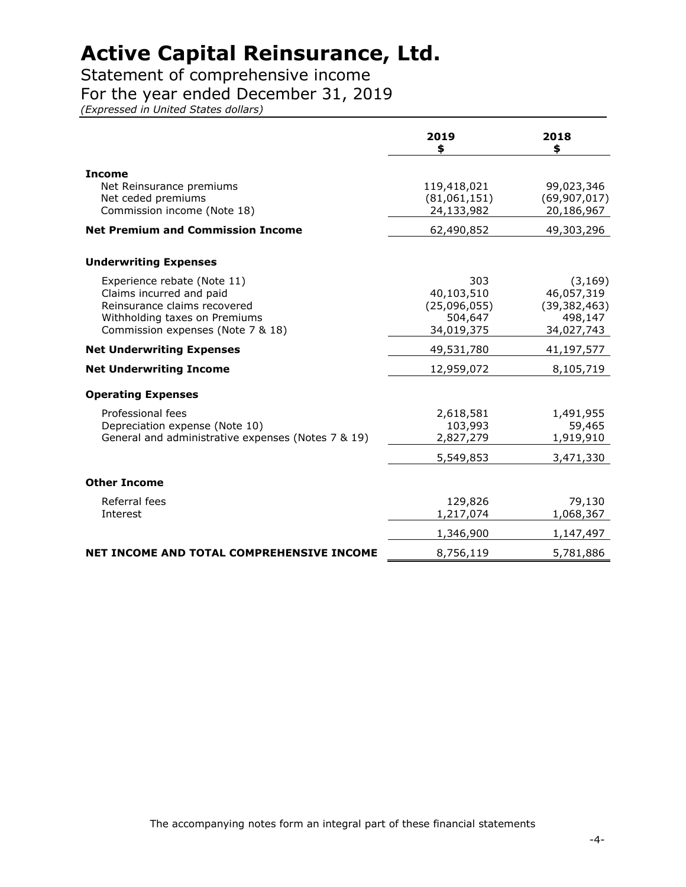Statement of comprehensive income

### For the year ended December 31, 2019

*(Expressed in United States dollars)*

|                                                                                                                                                               | 2019<br>\$                                                 | 2018<br>\$                                                        |
|---------------------------------------------------------------------------------------------------------------------------------------------------------------|------------------------------------------------------------|-------------------------------------------------------------------|
| <b>Income</b><br>Net Reinsurance premiums<br>Net ceded premiums<br>Commission income (Note 18)                                                                | 119,418,021<br>(81,061,151)<br>24,133,982                  | 99,023,346<br>(69, 907, 017)<br>20,186,967                        |
| <b>Net Premium and Commission Income</b>                                                                                                                      | 62,490,852                                                 | 49,303,296                                                        |
| <b>Underwriting Expenses</b>                                                                                                                                  |                                                            |                                                                   |
| Experience rebate (Note 11)<br>Claims incurred and paid<br>Reinsurance claims recovered<br>Withholding taxes on Premiums<br>Commission expenses (Note 7 & 18) | 303<br>40,103,510<br>(25,096,055)<br>504,647<br>34,019,375 | (3, 169)<br>46,057,319<br>(39, 382, 463)<br>498,147<br>34,027,743 |
| <b>Net Underwriting Expenses</b>                                                                                                                              | 49,531,780                                                 | 41,197,577                                                        |
| <b>Net Underwriting Income</b>                                                                                                                                | 12,959,072                                                 | 8,105,719                                                         |
| <b>Operating Expenses</b>                                                                                                                                     |                                                            |                                                                   |
| Professional fees<br>Depreciation expense (Note 10)<br>General and administrative expenses (Notes 7 & 19)                                                     | 2,618,581<br>103,993<br>2,827,279<br>5,549,853             | 1,491,955<br>59,465<br>1,919,910<br>3,471,330                     |
| <b>Other Income</b>                                                                                                                                           |                                                            |                                                                   |
| Referral fees<br>Interest                                                                                                                                     | 129,826<br>1,217,074                                       | 79,130<br>1,068,367                                               |
| NET INCOME AND TOTAL COMPREHENSIVE INCOME                                                                                                                     | 1,346,900<br>8,756,119                                     | 1,147,497<br>5,781,886                                            |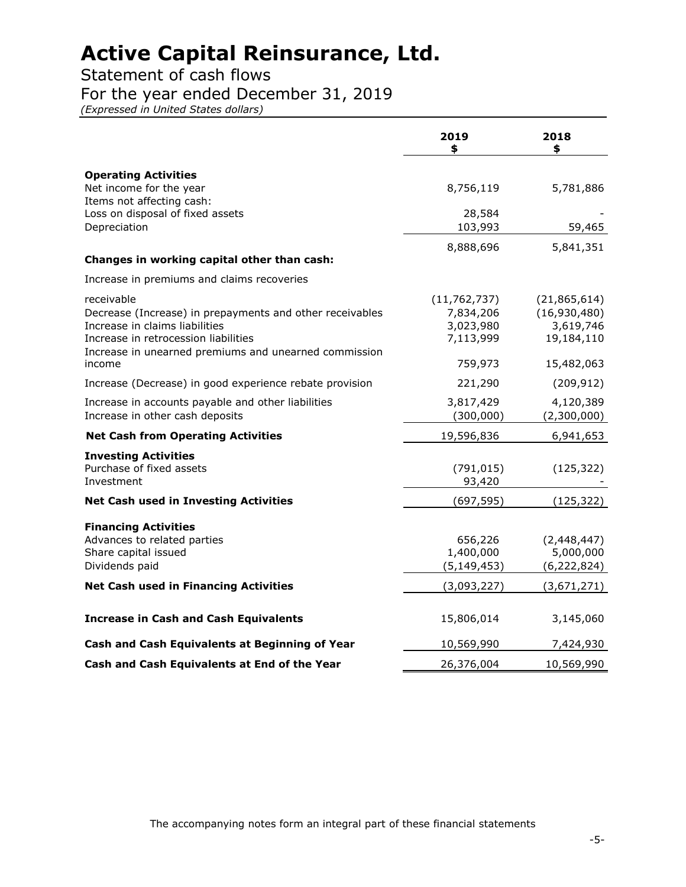Statement of cash flows

For the year ended December 31, 2019

*(Expressed in United States dollars)*

|                                                                                                                                                                                                                     | 2019<br>\$                                                       | 2018<br>\$                                                              |
|---------------------------------------------------------------------------------------------------------------------------------------------------------------------------------------------------------------------|------------------------------------------------------------------|-------------------------------------------------------------------------|
| <b>Operating Activities</b><br>Net income for the year<br>Items not affecting cash:<br>Loss on disposal of fixed assets                                                                                             | 8,756,119<br>28,584                                              | 5,781,886                                                               |
| Depreciation<br>Changes in working capital other than cash:                                                                                                                                                         | 103,993<br>8,888,696                                             | 59,465<br>5,841,351                                                     |
| Increase in premiums and claims recoveries                                                                                                                                                                          |                                                                  |                                                                         |
| receivable<br>Decrease (Increase) in prepayments and other receivables<br>Increase in claims liabilities<br>Increase in retrocession liabilities<br>Increase in unearned premiums and unearned commission<br>income | (11, 762, 737)<br>7,834,206<br>3,023,980<br>7,113,999<br>759,973 | (21, 865, 614)<br>(16,930,480)<br>3,619,746<br>19,184,110<br>15,482,063 |
| Increase (Decrease) in good experience rebate provision                                                                                                                                                             | 221,290                                                          | (209, 912)                                                              |
| Increase in accounts payable and other liabilities<br>Increase in other cash deposits                                                                                                                               | 3,817,429<br>(300, 000)                                          | 4,120,389<br>(2,300,000)                                                |
| <b>Net Cash from Operating Activities</b>                                                                                                                                                                           | 19,596,836                                                       | 6,941,653                                                               |
| <b>Investing Activities</b><br>Purchase of fixed assets<br>Investment                                                                                                                                               | (791, 015)<br>93,420                                             | (125, 322)                                                              |
| <b>Net Cash used in Investing Activities</b>                                                                                                                                                                        | (697, 595)                                                       | (125, 322)                                                              |
| <b>Financing Activities</b><br>Advances to related parties<br>Share capital issued<br>Dividends paid                                                                                                                | 656,226<br>1,400,000<br>(5, 149, 453)                            | (2,448,447)<br>5,000,000<br>(6, 222, 824)                               |
| <b>Net Cash used in Financing Activities</b>                                                                                                                                                                        | (3,093,227)                                                      | (3,671,271)                                                             |
| <b>Increase in Cash and Cash Equivalents</b>                                                                                                                                                                        | 15,806,014                                                       | 3,145,060                                                               |
| Cash and Cash Equivalents at Beginning of Year                                                                                                                                                                      | 10,569,990                                                       | 7,424,930                                                               |
| Cash and Cash Equivalents at End of the Year                                                                                                                                                                        | 26,376,004                                                       | 10,569,990                                                              |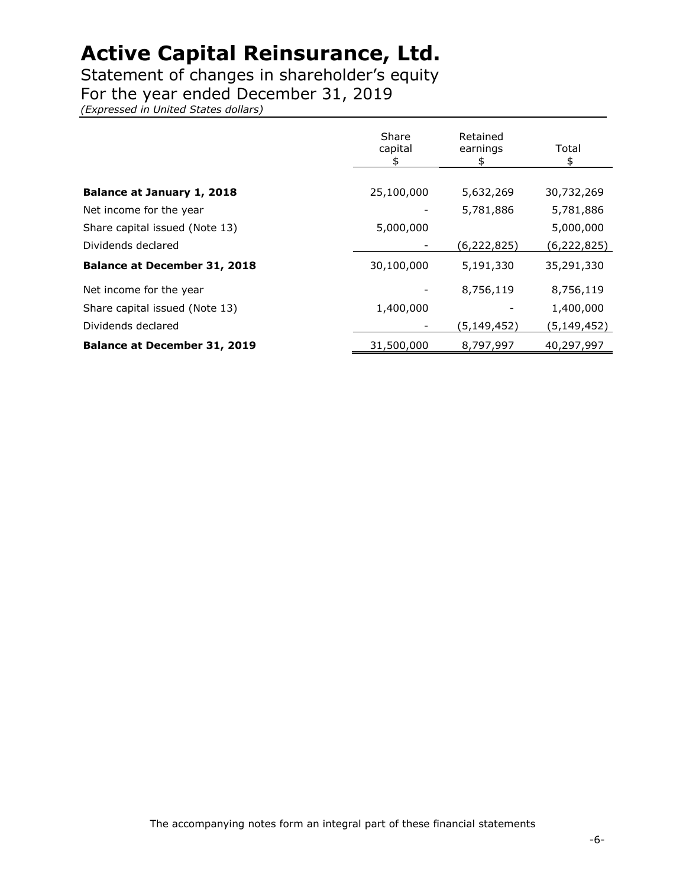Statement of changes in shareholder's equity

For the year ended December 31, 2019

*(Expressed in United States dollars)*

|                                | Share<br>capital<br>\$ | Retained<br>earnings<br>\$ | Total<br>\$   |
|--------------------------------|------------------------|----------------------------|---------------|
|                                |                        |                            |               |
| Balance at January 1, 2018     | 25,100,000             | 5,632,269                  | 30,732,269    |
| Net income for the year        |                        | 5,781,886                  | 5,781,886     |
| Share capital issued (Note 13) | 5,000,000              |                            | 5,000,000     |
| Dividends declared             |                        | (6, 222, 825)              | (6, 222, 825) |
| Balance at December 31, 2018   | 30,100,000             | 5,191,330                  | 35,291,330    |
| Net income for the year        |                        | 8,756,119                  | 8,756,119     |
| Share capital issued (Note 13) | 1,400,000              |                            | 1,400,000     |
| Dividends declared             |                        | (5, 149, 452)              | (5, 149, 452) |
| Balance at December 31, 2019   | 31,500,000             | 8,797,997                  | 40,297,997    |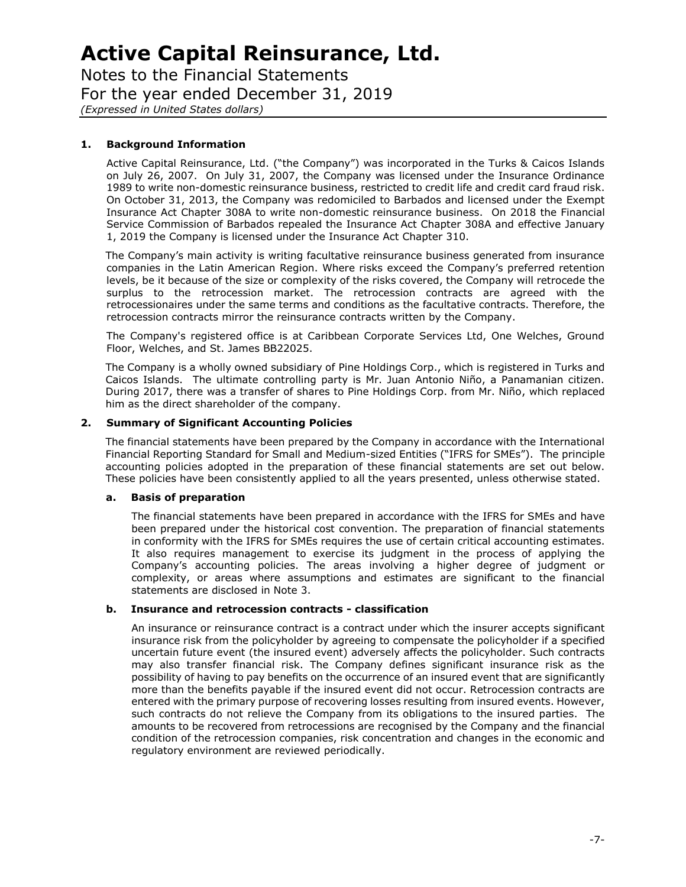Notes to the Financial Statements For the year ended December 31, 2019 *(Expressed in United States dollars)*

#### **1. Background Information**

Active Capital Reinsurance, Ltd. ("the Company") was incorporated in the Turks & Caicos Islands on July 26, 2007. On July 31, 2007, the Company was licensed under the Insurance Ordinance 1989 to write non-domestic reinsurance business, restricted to credit life and credit card fraud risk. On October 31, 2013, the Company was redomiciled to Barbados and licensed under the Exempt Insurance Act Chapter 308A to write non-domestic reinsurance business. On 2018 the Financial Service Commission of Barbados repealed the Insurance Act Chapter 308A and effective January 1, 2019 the Company is licensed under the Insurance Act Chapter 310.

The Company's main activity is writing facultative reinsurance business generated from insurance companies in the Latin American Region. Where risks exceed the Company's preferred retention levels, be it because of the size or complexity of the risks covered, the Company will retrocede the surplus to the retrocession market. The retrocession contracts are agreed with the retrocessionaires under the same terms and conditions as the facultative contracts. Therefore, the retrocession contracts mirror the reinsurance contracts written by the Company.

The Company's registered office is at Caribbean Corporate Services Ltd, One Welches, Ground Floor, Welches, and St. James BB22025.

The Company is a wholly owned subsidiary of Pine Holdings Corp., which is registered in Turks and Caicos Islands. The ultimate controlling party is Mr. Juan Antonio Niño, a Panamanian citizen. During 2017, there was a transfer of shares to Pine Holdings Corp. from Mr. Niño, which replaced him as the direct shareholder of the company.

#### **2. Summary of Significant Accounting Policies**

The financial statements have been prepared by the Company in accordance with the International Financial Reporting Standard for Small and Medium-sized Entities ("IFRS for SMEs"). The principle accounting policies adopted in the preparation of these financial statements are set out below. These policies have been consistently applied to all the years presented, unless otherwise stated.

#### **a. Basis of preparation**

The financial statements have been prepared in accordance with the IFRS for SMEs and have been prepared under the historical cost convention. The preparation of financial statements in conformity with the IFRS for SMEs requires the use of certain critical accounting estimates. It also requires management to exercise its judgment in the process of applying the Company's accounting policies. The areas involving a higher degree of judgment or complexity, or areas where assumptions and estimates are significant to the financial statements are disclosed in Note 3.

#### **b. Insurance and retrocession contracts - classification**

An insurance or reinsurance contract is a contract under which the insurer accepts significant insurance risk from the policyholder by agreeing to compensate the policyholder if a specified uncertain future event (the insured event) adversely affects the policyholder. Such contracts may also transfer financial risk. The Company defines significant insurance risk as the possibility of having to pay benefits on the occurrence of an insured event that are significantly more than the benefits payable if the insured event did not occur. Retrocession contracts are entered with the primary purpose of recovering losses resulting from insured events. However, such contracts do not relieve the Company from its obligations to the insured parties. The amounts to be recovered from retrocessions are recognised by the Company and the financial condition of the retrocession companies, risk concentration and changes in the economic and regulatory environment are reviewed periodically.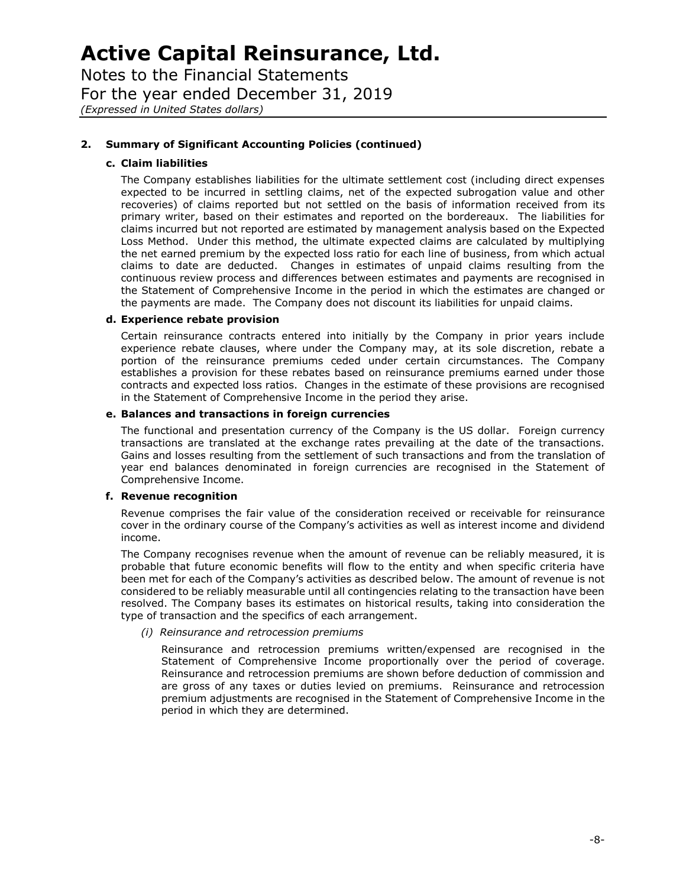Notes to the Financial Statements For the year ended December 31, 2019 *(Expressed in United States dollars)*

#### **2. Summary of Significant Accounting Policies (continued)**

#### **c. Claim liabilities**

The Company establishes liabilities for the ultimate settlement cost (including direct expenses expected to be incurred in settling claims, net of the expected subrogation value and other recoveries) of claims reported but not settled on the basis of information received from its primary writer, based on their estimates and reported on the bordereaux. The liabilities for claims incurred but not reported are estimated by management analysis based on the Expected Loss Method. Under this method, the ultimate expected claims are calculated by multiplying the net earned premium by the expected loss ratio for each line of business, from which actual claims to date are deducted. Changes in estimates of unpaid claims resulting from the continuous review process and differences between estimates and payments are recognised in the Statement of Comprehensive Income in the period in which the estimates are changed or the payments are made. The Company does not discount its liabilities for unpaid claims.

#### **d. Experience rebate provision**

Certain reinsurance contracts entered into initially by the Company in prior years include experience rebate clauses, where under the Company may, at its sole discretion, rebate a portion of the reinsurance premiums ceded under certain circumstances. The Company establishes a provision for these rebates based on reinsurance premiums earned under those contracts and expected loss ratios. Changes in the estimate of these provisions are recognised in the Statement of Comprehensive Income in the period they arise.

#### **e. Balances and transactions in foreign currencies**

The functional and presentation currency of the Company is the US dollar. Foreign currency transactions are translated at the exchange rates prevailing at the date of the transactions. Gains and losses resulting from the settlement of such transactions and from the translation of year end balances denominated in foreign currencies are recognised in the Statement of Comprehensive Income.

#### **f. Revenue recognition**

Revenue comprises the fair value of the consideration received or receivable for reinsurance cover in the ordinary course of the Company's activities as well as interest income and dividend income.

The Company recognises revenue when the amount of revenue can be reliably measured, it is probable that future economic benefits will flow to the entity and when specific criteria have been met for each of the Company's activities as described below. The amount of revenue is not considered to be reliably measurable until all contingencies relating to the transaction have been resolved. The Company bases its estimates on historical results, taking into consideration the type of transaction and the specifics of each arrangement.

#### *(i) Reinsurance and retrocession premiums*

Reinsurance and retrocession premiums written/expensed are recognised in the Statement of Comprehensive Income proportionally over the period of coverage. Reinsurance and retrocession premiums are shown before deduction of commission and are gross of any taxes or duties levied on premiums. Reinsurance and retrocession premium adjustments are recognised in the Statement of Comprehensive Income in the period in which they are determined.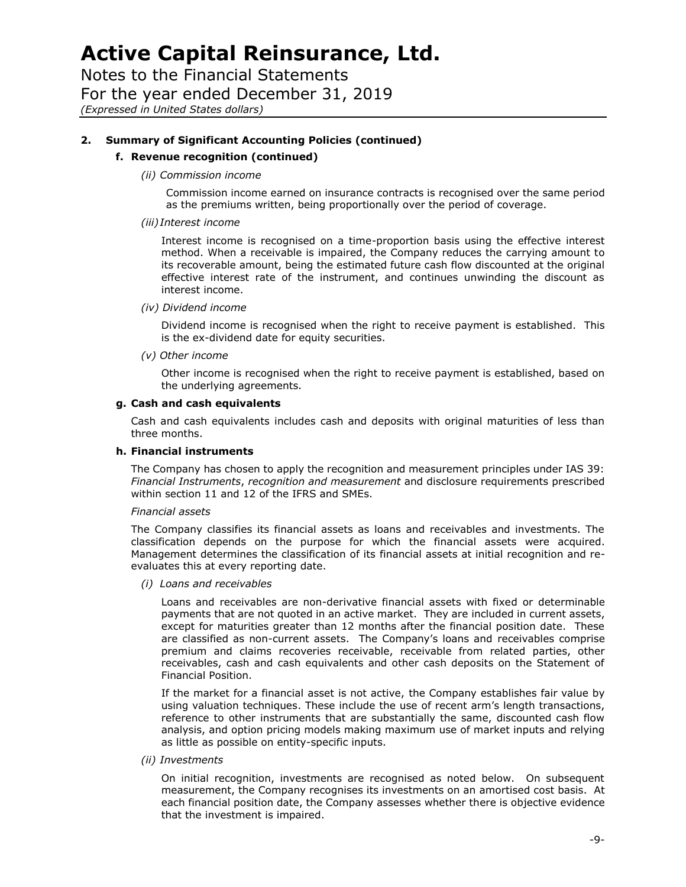Notes to the Financial Statements For the year ended December 31, 2019 *(Expressed in United States dollars)*

#### **2. Summary of Significant Accounting Policies (continued)**

#### **f. Revenue recognition (continued)**

#### *(ii) Commission income*

Commission income earned on insurance contracts is recognised over the same period as the premiums written, being proportionally over the period of coverage.

#### *(iii) Interest income*

Interest income is recognised on a time-proportion basis using the effective interest method. When a receivable is impaired, the Company reduces the carrying amount to its recoverable amount, being the estimated future cash flow discounted at the original effective interest rate of the instrument, and continues unwinding the discount as interest income.

*(iv) Dividend income*

Dividend income is recognised when the right to receive payment is established. This is the ex-dividend date for equity securities.

*(v) Other income*

Other income is recognised when the right to receive payment is established, based on the underlying agreements.

#### **g. Cash and cash equivalents**

Cash and cash equivalents includes cash and deposits with original maturities of less than three months.

#### **h. Financial instruments**

The Company has chosen to apply the recognition and measurement principles under IAS 39: *Financial Instruments*, *recognition and measurement* and disclosure requirements prescribed within section 11 and 12 of the IFRS and SMEs.

#### *Financial assets*

The Company classifies its financial assets as loans and receivables and investments. The classification depends on the purpose for which the financial assets were acquired. Management determines the classification of its financial assets at initial recognition and reevaluates this at every reporting date.

*(i) Loans and receivables*

Loans and receivables are non-derivative financial assets with fixed or determinable payments that are not quoted in an active market. They are included in current assets, except for maturities greater than 12 months after the financial position date. These are classified as non-current assets. The Company's loans and receivables comprise premium and claims recoveries receivable, receivable from related parties, other receivables, cash and cash equivalents and other cash deposits on the Statement of Financial Position.

If the market for a financial asset is not active, the Company establishes fair value by using valuation techniques. These include the use of recent arm's length transactions, reference to other instruments that are substantially the same, discounted cash flow analysis, and option pricing models making maximum use of market inputs and relying as little as possible on entity-specific inputs.

#### *(ii) Investments*

On initial recognition, investments are recognised as noted below. On subsequent measurement, the Company recognises its investments on an amortised cost basis. At each financial position date, the Company assesses whether there is objective evidence that the investment is impaired.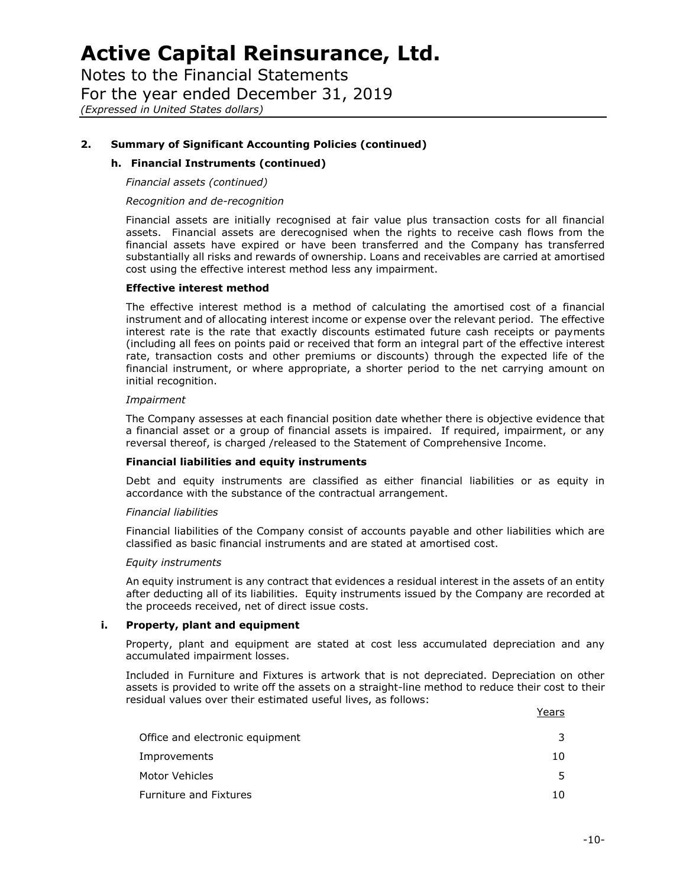Notes to the Financial Statements For the year ended December 31, 2019 *(Expressed in United States dollars)*

#### **2. Summary of Significant Accounting Policies (continued)**

#### **h. Financial Instruments (continued)**

*Financial assets (continued)*

#### *Recognition and de-recognition*

Financial assets are initially recognised at fair value plus transaction costs for all financial assets. Financial assets are derecognised when the rights to receive cash flows from the financial assets have expired or have been transferred and the Company has transferred substantially all risks and rewards of ownership. Loans and receivables are carried at amortised cost using the effective interest method less any impairment.

#### **Effective interest method**

The effective interest method is a method of calculating the amortised cost of a financial instrument and of allocating interest income or expense over the relevant period. The effective interest rate is the rate that exactly discounts estimated future cash receipts or payments (including all fees on points paid or received that form an integral part of the effective interest rate, transaction costs and other premiums or discounts) through the expected life of the financial instrument, or where appropriate, a shorter period to the net carrying amount on initial recognition.

#### *Impairment*

The Company assesses at each financial position date whether there is objective evidence that a financial asset or a group of financial assets is impaired. If required, impairment, or any reversal thereof, is charged /released to the Statement of Comprehensive Income.

#### **Financial liabilities and equity instruments**

Debt and equity instruments are classified as either financial liabilities or as equity in accordance with the substance of the contractual arrangement.

#### *Financial liabilities*

Financial liabilities of the Company consist of accounts payable and other liabilities which are classified as basic financial instruments and are stated at amortised cost.

#### *Equity instruments*

An equity instrument is any contract that evidences a residual interest in the assets of an entity after deducting all of its liabilities. Equity instruments issued by the Company are recorded at the proceeds received, net of direct issue costs.

#### **i. Property, plant and equipment**

Property, plant and equipment are stated at cost less accumulated depreciation and any accumulated impairment losses.

Included in Furniture and Fixtures is artwork that is not depreciated. Depreciation on other assets is provided to write off the assets on a straight-line method to reduce their cost to their residual values over their estimated useful lives, as follows:

|                                 | .  |
|---------------------------------|----|
| Office and electronic equipment | 3  |
| Improvements                    | 10 |
| Motor Vehicles                  | 5  |
| <b>Furniture and Fixtures</b>   | 10 |

**Years**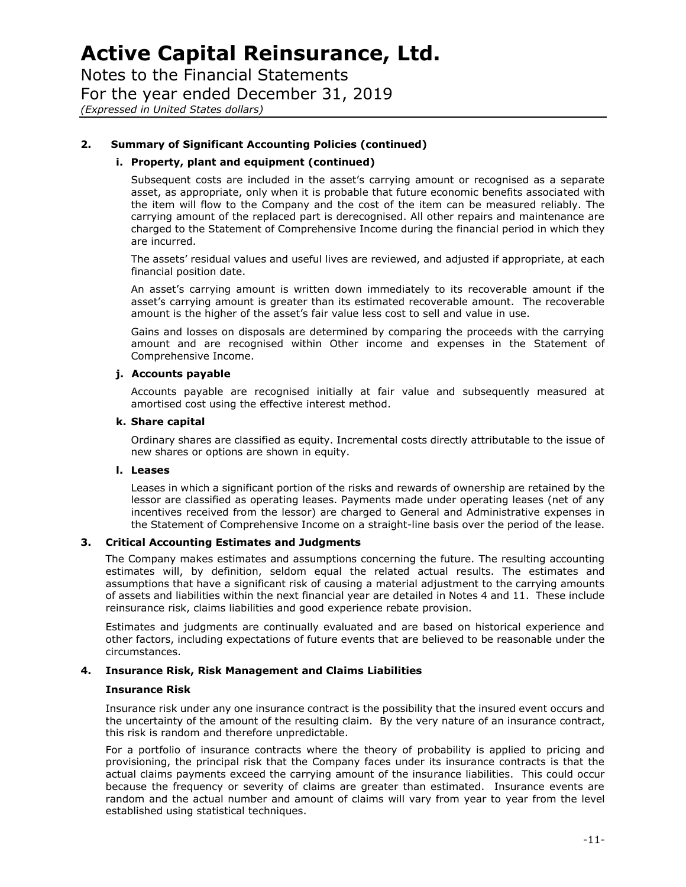Notes to the Financial Statements For the year ended December 31, 2019 *(Expressed in United States dollars)*

#### **2. Summary of Significant Accounting Policies (continued)**

#### **i. Property, plant and equipment (continued)**

Subsequent costs are included in the asset's carrying amount or recognised as a separate asset, as appropriate, only when it is probable that future economic benefits associated with the item will flow to the Company and the cost of the item can be measured reliably. The carrying amount of the replaced part is derecognised. All other repairs and maintenance are charged to the Statement of Comprehensive Income during the financial period in which they are incurred.

The assets' residual values and useful lives are reviewed, and adjusted if appropriate, at each financial position date.

An asset's carrying amount is written down immediately to its recoverable amount if the asset's carrying amount is greater than its estimated recoverable amount. The recoverable amount is the higher of the asset's fair value less cost to sell and value in use.

Gains and losses on disposals are determined by comparing the proceeds with the carrying amount and are recognised within Other income and expenses in the Statement of Comprehensive Income.

#### **j. Accounts payable**

Accounts payable are recognised initially at fair value and subsequently measured at amortised cost using the effective interest method.

#### **k. Share capital**

Ordinary shares are classified as equity. Incremental costs directly attributable to the issue of new shares or options are shown in equity.

#### **l. Leases**

Leases in which a significant portion of the risks and rewards of ownership are retained by the lessor are classified as operating leases. Payments made under operating leases (net of any incentives received from the lessor) are charged to General and Administrative expenses in the Statement of Comprehensive Income on a straight-line basis over the period of the lease.

#### **3. Critical Accounting Estimates and Judgments**

The Company makes estimates and assumptions concerning the future. The resulting accounting estimates will, by definition, seldom equal the related actual results. The estimates and assumptions that have a significant risk of causing a material adjustment to the carrying amounts of assets and liabilities within the next financial year are detailed in Notes 4 and 11. These include reinsurance risk, claims liabilities and good experience rebate provision.

Estimates and judgments are continually evaluated and are based on historical experience and other factors, including expectations of future events that are believed to be reasonable under the circumstances.

#### **4. Insurance Risk, Risk Management and Claims Liabilities**

#### **Insurance Risk**

Insurance risk under any one insurance contract is the possibility that the insured event occurs and the uncertainty of the amount of the resulting claim. By the very nature of an insurance contract, this risk is random and therefore unpredictable.

For a portfolio of insurance contracts where the theory of probability is applied to pricing and provisioning, the principal risk that the Company faces under its insurance contracts is that the actual claims payments exceed the carrying amount of the insurance liabilities. This could occur because the frequency or severity of claims are greater than estimated. Insurance events are random and the actual number and amount of claims will vary from year to year from the level established using statistical techniques.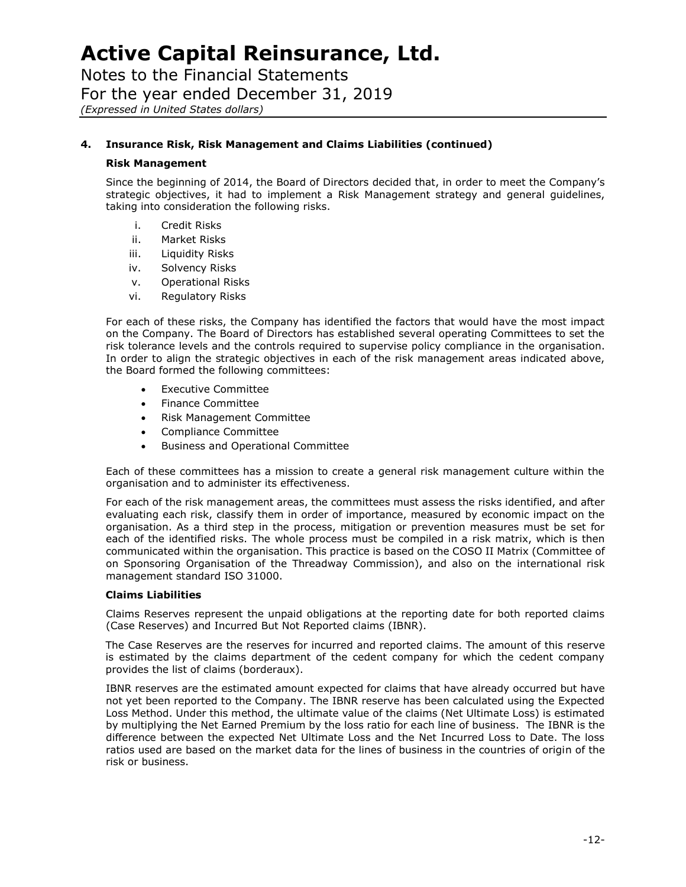Notes to the Financial Statements For the year ended December 31, 2019 *(Expressed in United States dollars)*

#### **4. Insurance Risk, Risk Management and Claims Liabilities (continued)**

#### **Risk Management**

Since the beginning of 2014, the Board of Directors decided that, in order to meet the Company's strategic objectives, it had to implement a Risk Management strategy and general guidelines, taking into consideration the following risks.

- i. Credit Risks
- ii. Market Risks
- iii. Liquidity Risks
- iv. Solvency Risks
- v. Operational Risks
- vi. Regulatory Risks

For each of these risks, the Company has identified the factors that would have the most impact on the Company. The Board of Directors has established several operating Committees to set the risk tolerance levels and the controls required to supervise policy compliance in the organisation. In order to align the strategic objectives in each of the risk management areas indicated above, the Board formed the following committees:

- **Executive Committee**
- Finance Committee
- Risk Management Committee
- Compliance Committee
- Business and Operational Committee

Each of these committees has a mission to create a general risk management culture within the organisation and to administer its effectiveness.

For each of the risk management areas, the committees must assess the risks identified, and after evaluating each risk, classify them in order of importance, measured by economic impact on the organisation. As a third step in the process, mitigation or prevention measures must be set for each of the identified risks. The whole process must be compiled in a risk matrix, which is then communicated within the organisation. This practice is based on the COSO II Matrix (Committee of on Sponsoring Organisation of the Threadway Commission), and also on the international risk management standard ISO 31000.

#### **Claims Liabilities**

Claims Reserves represent the unpaid obligations at the reporting date for both reported claims (Case Reserves) and Incurred But Not Reported claims (IBNR).

The Case Reserves are the reserves for incurred and reported claims. The amount of this reserve is estimated by the claims department of the cedent company for which the cedent company provides the list of claims (borderaux).

IBNR reserves are the estimated amount expected for claims that have already occurred but have not yet been reported to the Company. The IBNR reserve has been calculated using the Expected Loss Method. Under this method, the ultimate value of the claims (Net Ultimate Loss) is estimated by multiplying the Net Earned Premium by the loss ratio for each line of business. The IBNR is the difference between the expected Net Ultimate Loss and the Net Incurred Loss to Date. The loss ratios used are based on the market data for the lines of business in the countries of origin of the risk or business.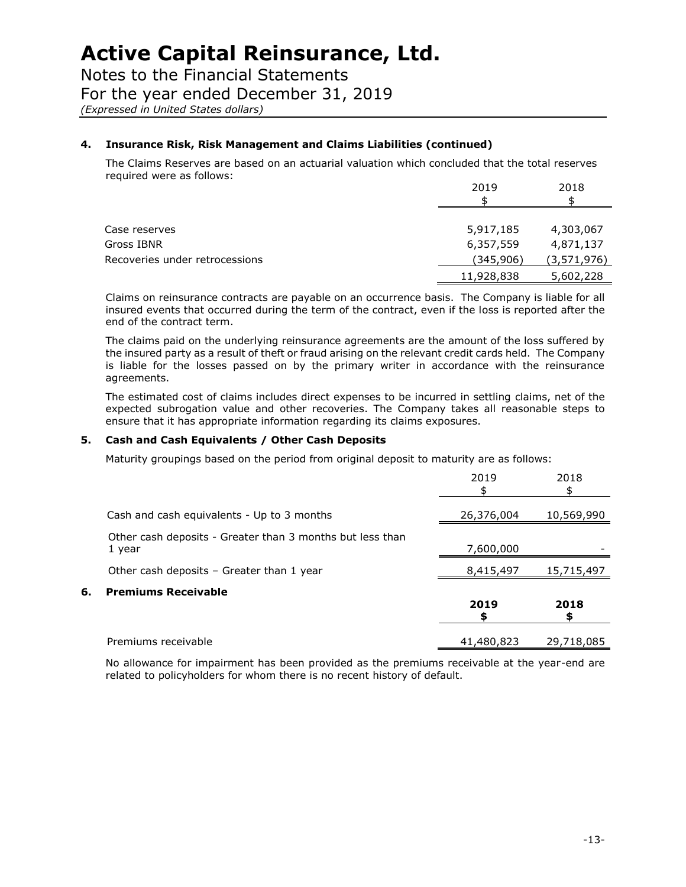Notes to the Financial Statements For the year ended December 31, 2019 *(Expressed in United States dollars)*

#### **4. Insurance Risk, Risk Management and Claims Liabilities (continued)**

The Claims Reserves are based on an actuarial valuation which concluded that the total reserves required were as follows:

|                                | 2019       | 2018        |
|--------------------------------|------------|-------------|
|                                |            |             |
| Case reserves                  | 5,917,185  | 4,303,067   |
| Gross IBNR                     | 6,357,559  | 4,871,137   |
| Recoveries under retrocessions | (345,906)  | (3,571,976) |
|                                | 11,928,838 | 5,602,228   |

Claims on reinsurance contracts are payable on an occurrence basis. The Company is liable for all insured events that occurred during the term of the contract, even if the loss is reported after the end of the contract term.

The claims paid on the underlying reinsurance agreements are the amount of the loss suffered by the insured party as a result of theft or fraud arising on the relevant credit cards held. The Company is liable for the losses passed on by the primary writer in accordance with the reinsurance agreements.

The estimated cost of claims includes direct expenses to be incurred in settling claims, net of the expected subrogation value and other recoveries. The Company takes all reasonable steps to ensure that it has appropriate information regarding its claims exposures.

#### **5. Cash and Cash Equivalents / Other Cash Deposits**

Maturity groupings based on the period from original deposit to maturity are as follows:

|    |                                                                     | 2019       | 2018       |
|----|---------------------------------------------------------------------|------------|------------|
|    | Cash and cash equivalents - Up to 3 months                          | 26,376,004 | 10,569,990 |
|    | Other cash deposits - Greater than 3 months but less than<br>1 year | 7,600,000  |            |
|    | Other cash deposits - Greater than 1 year                           | 8,415,497  | 15,715,497 |
| 6. | <b>Premiums Receivable</b>                                          | 2019       | 2018       |
|    | Premiums receivable                                                 | 41,480,823 | 29,718,085 |

No allowance for impairment has been provided as the premiums receivable at the year-end are related to policyholders for whom there is no recent history of default.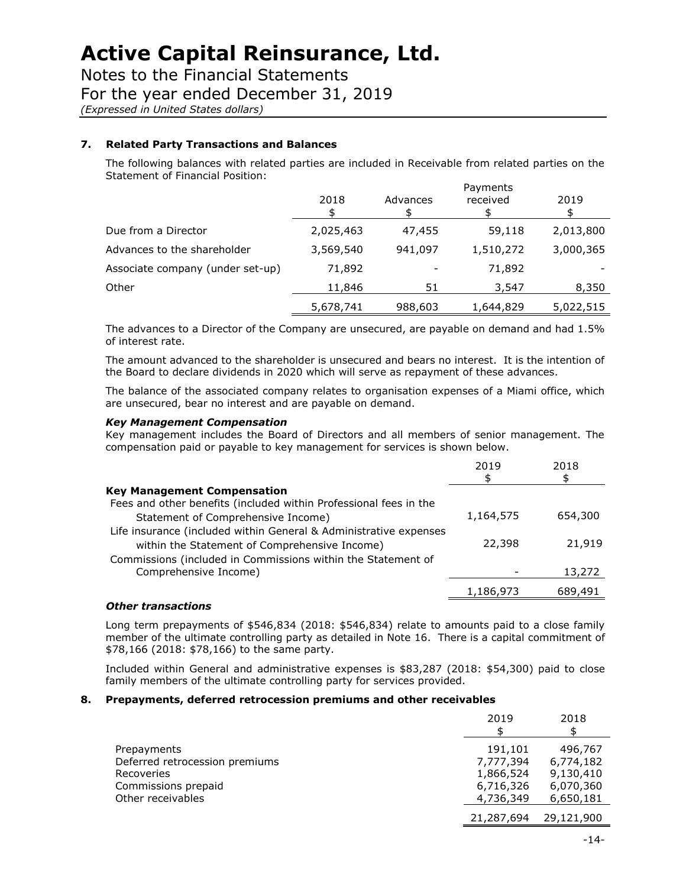Notes to the Financial Statements

For the year ended December 31, 2019

*(Expressed in United States dollars)*

#### **7. Related Party Transactions and Balances**

The following balances with related parties are included in Receivable from related parties on the Statement of Financial Position:

|                                  | 2018      | Advances | Payments<br>received | 2019      |
|----------------------------------|-----------|----------|----------------------|-----------|
| Due from a Director              | 2,025,463 | 47,455   | 59,118               | 2,013,800 |
| Advances to the shareholder      | 3,569,540 | 941,097  | 1,510,272            | 3,000,365 |
| Associate company (under set-up) | 71,892    |          | 71,892               |           |
| Other                            | 11,846    | 51       | 3,547                | 8,350     |
|                                  | 5,678,741 | 988,603  | 1,644,829            | 5,022,515 |

The advances to a Director of the Company are unsecured, are payable on demand and had 1.5% of interest rate.

The amount advanced to the shareholder is unsecured and bears no interest. It is the intention of the Board to declare dividends in 2020 which will serve as repayment of these advances.

The balance of the associated company relates to organisation expenses of a Miami office, which are unsecured, bear no interest and are payable on demand.

#### *Key Management Compensation*

Key management includes the Board of Directors and all members of senior management. The compensation paid or payable to key management for services is shown below.

|                                                                   | 2019      | 2018    |
|-------------------------------------------------------------------|-----------|---------|
|                                                                   |           |         |
| <b>Key Management Compensation</b>                                |           |         |
| Fees and other benefits (included within Professional fees in the |           |         |
| Statement of Comprehensive Income)                                | 1,164,575 | 654,300 |
| Life insurance (included within General & Administrative expenses |           |         |
| within the Statement of Comprehensive Income)                     | 22,398    | 21,919  |
| Commissions (included in Commissions within the Statement of      |           |         |
| Comprehensive Income)                                             |           | 13,272  |
|                                                                   | 1,186,973 | 689,491 |

#### *Other transactions*

Long term prepayments of \$546,834 (2018: \$546,834) relate to amounts paid to a close family member of the ultimate controlling party as detailed in Note 16. There is a capital commitment of \$78,166 (2018: \$78,166) to the same party.

Included within General and administrative expenses is \$83,287 (2018: \$54,300) paid to close family members of the ultimate controlling party for services provided.

#### **8. Prepayments, deferred retrocession premiums and other receivables**

|                                               | 2019                   | 2018                   |
|-----------------------------------------------|------------------------|------------------------|
| Prepayments<br>Deferred retrocession premiums | 191,101<br>7,777,394   | 496,767<br>6,774,182   |
| Recoveries                                    | 1,866,524              | 9,130,410              |
| Commissions prepaid<br>Other receivables      | 6,716,326<br>4,736,349 | 6,070,360<br>6,650,181 |
|                                               | 21,287,694             | 29,121,900             |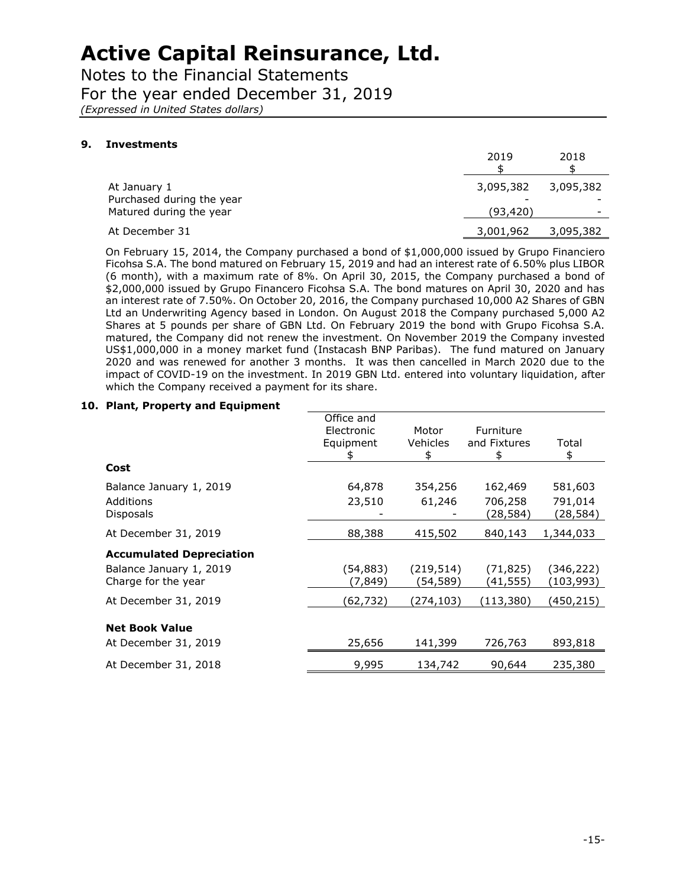Notes to the Financial Statements For the year ended December 31, 2019 *(Expressed in United States dollars)*

#### **9. Investments**

|                           | 2019      | 2018      |
|---------------------------|-----------|-----------|
| At January 1              | 3,095,382 | 3,095,382 |
| Purchased during the year |           |           |
| Matured during the year   | (93, 420) |           |
| At December 31            | 3,001,962 | 3,095,382 |

On February 15, 2014, the Company purchased a bond of \$1,000,000 issued by Grupo Financiero Ficohsa S.A. The bond matured on February 15, 2019 and had an interest rate of 6.50% plus LIBOR (6 month), with a maximum rate of 8%. On April 30, 2015, the Company purchased a bond of \$2,000,000 issued by Grupo Financero Ficohsa S.A. The bond matures on April 30, 2020 and has an interest rate of 7.50%. On October 20, 2016, the Company purchased 10,000 A2 Shares of GBN Ltd an Underwriting Agency based in London. On August 2018 the Company purchased 5,000 A2 Shares at 5 pounds per share of GBN Ltd. On February 2019 the bond with Grupo Ficohsa S.A. matured, the Company did not renew the investment. On November 2019 the Company invested US\$1,000,000 in a money market fund (Instacash BNP Paribas). The fund matured on January 2020 and was renewed for another 3 months. It was then cancelled in March 2020 due to the impact of COVID-19 on the investment. In 2019 GBN Ltd. entered into voluntary liquidation, after which the Company received a payment for its share.

#### **10. Plant, Property and Equipment**

|                                                | Office and<br>Electronic<br>Equipment<br>\$ | Motor<br><b>Vehicles</b><br>\$ | Furniture<br>and Fixtures<br>\$ | Total<br>\$            |
|------------------------------------------------|---------------------------------------------|--------------------------------|---------------------------------|------------------------|
| Cost                                           |                                             |                                |                                 |                        |
| Balance January 1, 2019                        | 64,878                                      | 354,256                        | 162,469                         | 581,603                |
| Additions<br>Disposals                         | 23,510                                      | 61,246                         | 706,258<br>(28,584)             | 791,014<br>(28,584)    |
| At December 31, 2019                           | 88,388                                      | 415,502                        | 840,143                         | 1,344,033              |
| <b>Accumulated Depreciation</b>                |                                             |                                |                                 |                        |
| Balance January 1, 2019<br>Charge for the year | (54,883)<br>(7,849)                         | (219,514)<br>(54,589)          | (71, 825)<br>(41,555)           | (346,222)<br>(103,993) |
| At December 31, 2019                           | (62, 732)                                   | (274,103)                      | (113,380)                       | (450,215)              |
| <b>Net Book Value</b><br>At December 31, 2019  | 25,656                                      | 141,399                        | 726,763                         | 893,818                |
|                                                |                                             |                                |                                 |                        |
| At December 31, 2018                           | 9,995                                       | 134,742                        | 90,644                          | 235,380                |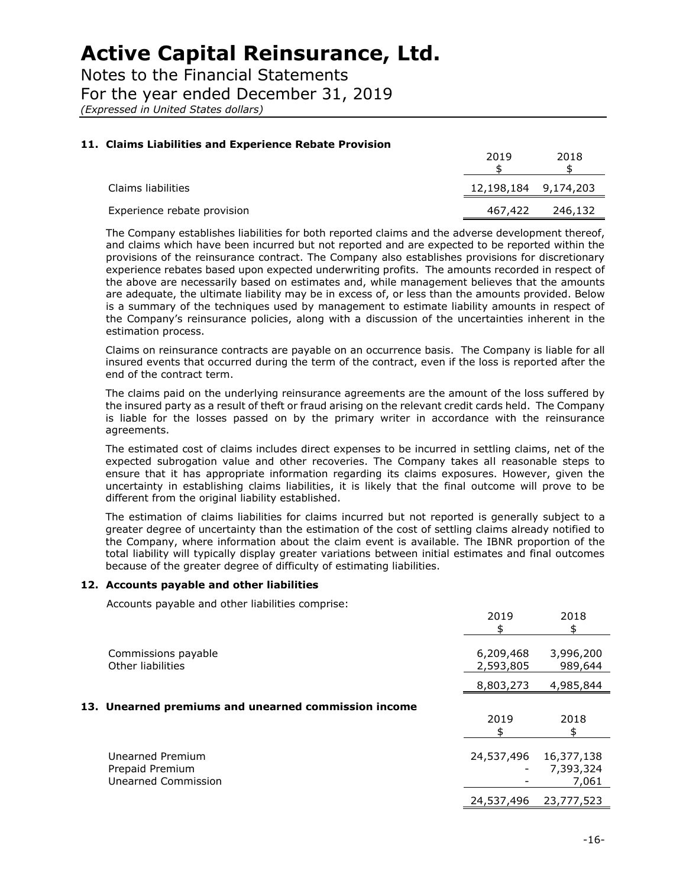Notes to the Financial Statements

For the year ended December 31, 2019

*(Expressed in United States dollars)*

#### **11. Claims Liabilities and Experience Rebate Provision**

|                             | 2019                 | 2018    |
|-----------------------------|----------------------|---------|
| Claims liabilities          | 12,198,184 9,174,203 |         |
| Experience rebate provision | 467,422              | 246,132 |

The Company establishes liabilities for both reported claims and the adverse development thereof, and claims which have been incurred but not reported and are expected to be reported within the provisions of the reinsurance contract. The Company also establishes provisions for discretionary experience rebates based upon expected underwriting profits. The amounts recorded in respect of the above are necessarily based on estimates and, while management believes that the amounts are adequate, the ultimate liability may be in excess of, or less than the amounts provided. Below is a summary of the techniques used by management to estimate liability amounts in respect of the Company's reinsurance policies, along with a discussion of the uncertainties inherent in the estimation process.

Claims on reinsurance contracts are payable on an occurrence basis. The Company is liable for all insured events that occurred during the term of the contract, even if the loss is reported after the end of the contract term.

The claims paid on the underlying reinsurance agreements are the amount of the loss suffered by the insured party as a result of theft or fraud arising on the relevant credit cards held. The Company is liable for the losses passed on by the primary writer in accordance with the reinsurance agreements.

The estimated cost of claims includes direct expenses to be incurred in settling claims, net of the expected subrogation value and other recoveries. The Company takes all reasonable steps to ensure that it has appropriate information regarding its claims exposures. However, given the uncertainty in establishing claims liabilities, it is likely that the final outcome will prove to be different from the original liability established.

The estimation of claims liabilities for claims incurred but not reported is generally subject to a greater degree of uncertainty than the estimation of the cost of settling claims already notified to the Company, where information about the claim event is available. The IBNR proportion of the total liability will typically display greater variations between initial estimates and final outcomes because of the greater degree of difficulty of estimating liabilities.

#### **12. Accounts payable and other liabilities**

Accounts payable and other liabilities comprise:

|                                                                   | 2019                   | 2018<br>\$                       |
|-------------------------------------------------------------------|------------------------|----------------------------------|
| Commissions payable<br>Other liabilities                          | 6,209,468<br>2,593,805 | 3,996,200<br>989,644             |
|                                                                   | 8,803,273              | 4,985,844                        |
| 13. Unearned premiums and unearned commission income              | 2019                   | 2018                             |
| Unearned Premium<br>Prepaid Premium<br><b>Unearned Commission</b> | 24,537,496             | 16,377,138<br>7,393,324<br>7,061 |
|                                                                   | 24,537,496             | 23,777,523                       |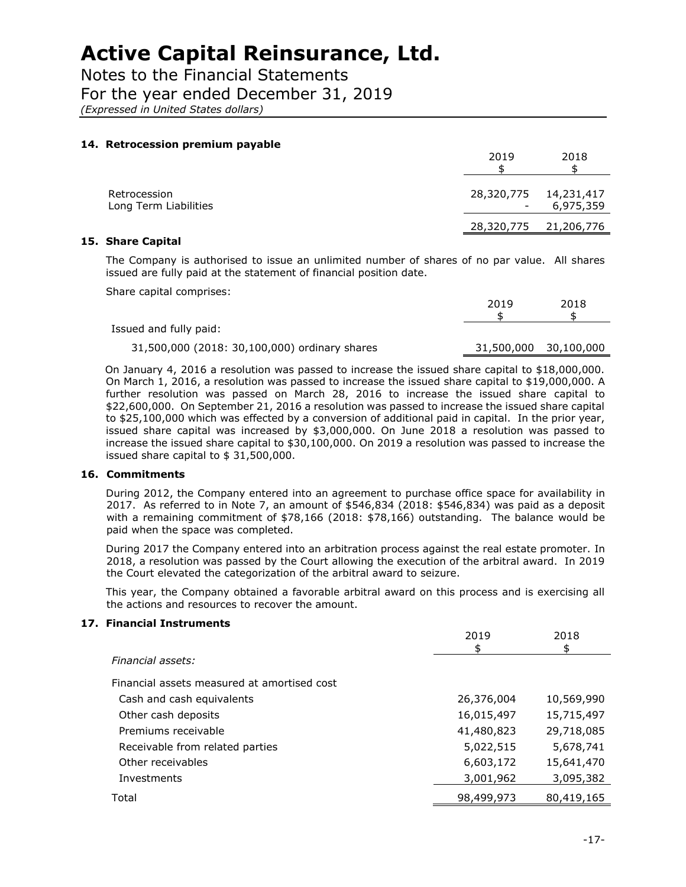Notes to the Financial Statements

For the year ended December 31, 2019

*(Expressed in United States dollars)*

#### **14. Retrocession premium payable**

|                                       | 2019                     | 2018                               |
|---------------------------------------|--------------------------|------------------------------------|
| Retrocession<br>Long Term Liabilities | $\overline{\phantom{a}}$ | 28,320,775 14,231,417<br>6,975,359 |
|                                       |                          | 28,320,775 21,206,776              |
|                                       |                          |                                    |

#### **15. Share Capital**

The Company is authorised to issue an unlimited number of shares of no par value. All shares issued are fully paid at the statement of financial position date.

Share capital comprises:

|                                               | 2019 | 2018                  |
|-----------------------------------------------|------|-----------------------|
|                                               |      |                       |
| Issued and fully paid:                        |      |                       |
| 31,500,000 (2018: 30,100,000) ordinary shares |      | 31,500,000 30,100,000 |
|                                               |      |                       |

On January 4, 2016 a resolution was passed to increase the issued share capital to \$18,000,000. On March 1, 2016, a resolution was passed to increase the issued share capital to \$19,000,000. A further resolution was passed on March 28, 2016 to increase the issued share capital to \$22,600,000. On September 21, 2016 a resolution was passed to increase the issued share capital to \$25,100,000 which was effected by a conversion of additional paid in capital. In the prior year, issued share capital was increased by \$3,000,000. On June 2018 a resolution was passed to increase the issued share capital to \$30,100,000. On 2019 a resolution was passed to increase the issued share capital to \$ 31,500,000.

#### **16. Commitments**

During 2012, the Company entered into an agreement to purchase office space for availability in 2017. As referred to in Note 7, an amount of \$546,834 (2018: \$546,834) was paid as a deposit with a remaining commitment of \$78,166 (2018: \$78,166) outstanding. The balance would be paid when the space was completed.

During 2017 the Company entered into an arbitration process against the real estate promoter. In 2018, a resolution was passed by the Court allowing the execution of the arbitral award. In 2019 the Court elevated the categorization of the arbitral award to seizure.

This year, the Company obtained a favorable arbitral award on this process and is exercising all the actions and resources to recover the amount.

2019

#### **17. Financial Instruments**

|                                             | 2019       | 2018       |
|---------------------------------------------|------------|------------|
|                                             | \$         | \$         |
| Financial assets:                           |            |            |
| Financial assets measured at amortised cost |            |            |
| Cash and cash equivalents                   | 26,376,004 | 10,569,990 |
| Other cash deposits                         | 16,015,497 | 15,715,497 |
| Premiums receivable                         | 41,480,823 | 29,718,085 |
| Receivable from related parties             | 5,022,515  | 5,678,741  |
| Other receivables                           | 6,603,172  | 15,641,470 |
| Investments                                 | 3,001,962  | 3,095,382  |
| Total                                       | 98,499,973 | 80,419,165 |

2018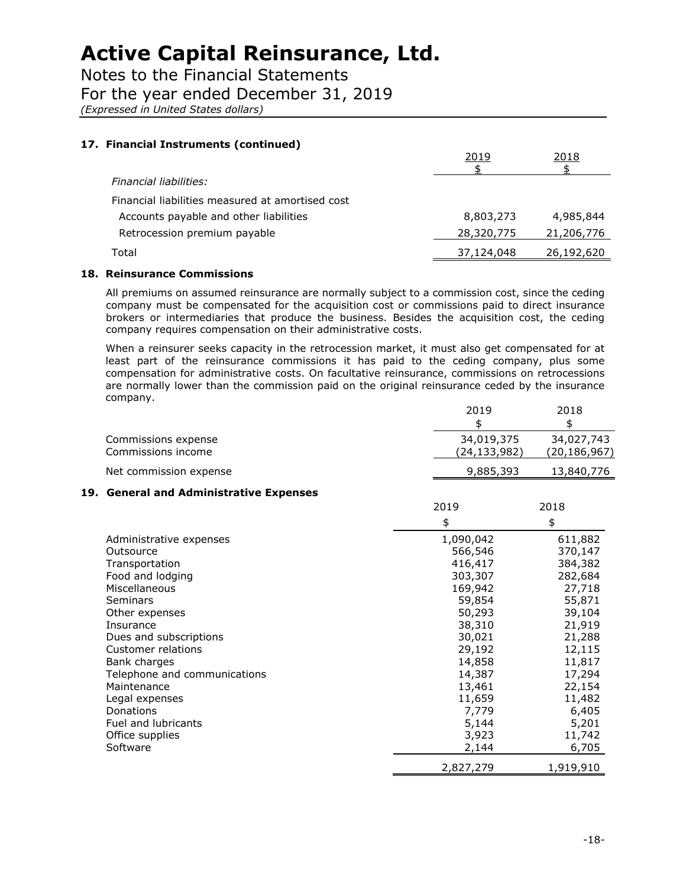Notes to the Financial Statements

For the year ended December 31, 2019

*(Expressed in United States dollars)*

#### **17. Financial Instruments (continued)**

|                                                  | <u>2019</u> | 2018       |
|--------------------------------------------------|-------------|------------|
|                                                  |             |            |
| Financial liabilities:                           |             |            |
| Financial liabilities measured at amortised cost |             |            |
| Accounts payable and other liabilities           | 8,803,273   | 4,985,844  |
| Retrocession premium payable                     | 28,320,775  | 21,206,776 |
| Total                                            | 37,124,048  | 26,192,620 |

#### **18. Reinsurance Commissions**

All premiums on assumed reinsurance are normally subject to a commission cost, since the ceding company must be compensated for the acquisition cost or commissions paid to direct insurance brokers or intermediaries that produce the business. Besides the acquisition cost, the ceding company requires compensation on their administrative costs.

When a reinsurer seeks capacity in the retrocession market, it must also get compensated for at least part of the reinsurance commissions it has paid to the ceding company, plus some compensation for administrative costs. On facultative reinsurance, commissions on retrocessions are normally lower than the commission paid on the original reinsurance ceded by the insurance company.

|                                           | 2019                       | 2018                       |
|-------------------------------------------|----------------------------|----------------------------|
|                                           | \$                         | \$                         |
| Commissions expense<br>Commissions income | 34,019,375<br>(24,133,982) | 34,027,743<br>(20,186,967) |
| Net commission expense                    | 9,885,393                  | 13,840,776                 |
| 19. General and Administrative Expenses   |                            |                            |
|                                           | 2019                       | 2018                       |
|                                           | \$                         | \$                         |
| Administrative expenses                   | 1,090,042                  | 611,882                    |
| Outsource                                 | 566,546                    | 370,147                    |
| Transportation                            | 416,417                    | 384,382                    |
| Food and lodging                          | 303,307                    | 282,684                    |
| Miscellaneous                             | 169,942                    | 27,718                     |
| <b>Seminars</b>                           | 59,854                     | 55,871                     |
| Other expenses                            | 50,293                     | 39,104                     |
| Insurance                                 | 38,310                     | 21,919                     |
| Dues and subscriptions                    | 30,021                     | 21,288                     |
| Customer relations                        | 29,192                     | 12,115                     |
| Bank charges                              | 14,858                     | 11,817                     |
| Telephone and communications              | 14,387                     | 17,294                     |
| Maintenance                               | 13,461                     | 22,154                     |
| Legal expenses                            | 11,659                     | 11,482                     |
| Donations                                 | 7,779                      | 6,405                      |
| Fuel and lubricants                       | 5,144                      | 5,201                      |
| Office supplies<br>Software               | 3,923<br>2,144             | 11,742<br>6,705            |
|                                           |                            |                            |
|                                           | 2,827,279                  | 1,919,910                  |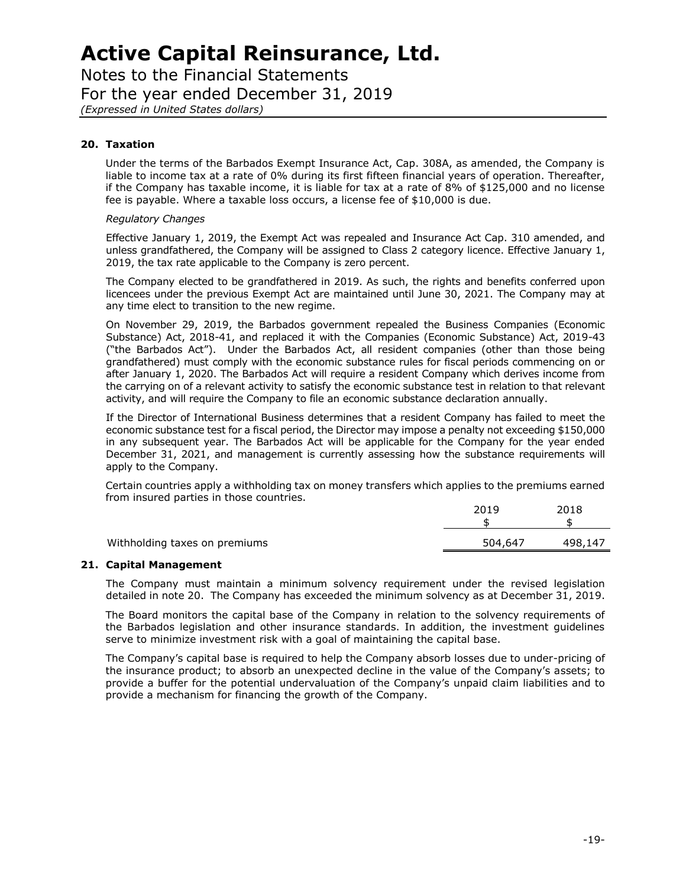Notes to the Financial Statements For the year ended December 31, 2019 *(Expressed in United States dollars)*

#### **20. Taxation**

Under the terms of the Barbados Exempt Insurance Act, Cap. 308A, as amended, the Company is liable to income tax at a rate of 0% during its first fifteen financial years of operation. Thereafter, if the Company has taxable income, it is liable for tax at a rate of 8% of \$125,000 and no license fee is payable. Where a taxable loss occurs, a license fee of \$10,000 is due.

#### *Regulatory Changes*

Effective January 1, 2019, the Exempt Act was repealed and Insurance Act Cap. 310 amended, and unless grandfathered, the Company will be assigned to Class 2 category licence. Effective January 1, 2019, the tax rate applicable to the Company is zero percent.

The Company elected to be grandfathered in 2019. As such, the rights and benefits conferred upon licencees under the previous Exempt Act are maintained until June 30, 2021. The Company may at any time elect to transition to the new regime.

On November 29, 2019, the Barbados government repealed the Business Companies (Economic Substance) Act, 2018-41, and replaced it with the Companies (Economic Substance) Act, 2019-43 ("the Barbados Act"). Under the Barbados Act, all resident companies (other than those being grandfathered) must comply with the economic substance rules for fiscal periods commencing on or after January 1, 2020. The Barbados Act will require a resident Company which derives income from the carrying on of a relevant activity to satisfy the economic substance test in relation to that relevant activity, and will require the Company to file an economic substance declaration annually.

If the Director of International Business determines that a resident Company has failed to meet the economic substance test for a fiscal period, the Director may impose a penalty not exceeding \$150,000 in any subsequent year. The Barbados Act will be applicable for the Company for the year ended December 31, 2021, and management is currently assessing how the substance requirements will apply to the Company.

Certain countries apply a withholding tax on money transfers which applies to the premiums earned from insured parties in those countries.

|                               | 2019    | 2018    |
|-------------------------------|---------|---------|
|                               |         |         |
| Withholding taxes on premiums | 504,647 | 498,147 |
|                               |         |         |

#### **21. Capital Management**

The Company must maintain a minimum solvency requirement under the revised legislation detailed in note 20. The Company has exceeded the minimum solvency as at December 31, 2019.

The Board monitors the capital base of the Company in relation to the solvency requirements of the Barbados legislation and other insurance standards. In addition, the investment guidelines serve to minimize investment risk with a goal of maintaining the capital base.

The Company's capital base is required to help the Company absorb losses due to under-pricing of the insurance product; to absorb an unexpected decline in the value of the Company's assets; to provide a buffer for the potential undervaluation of the Company's unpaid claim liabilities and to provide a mechanism for financing the growth of the Company.